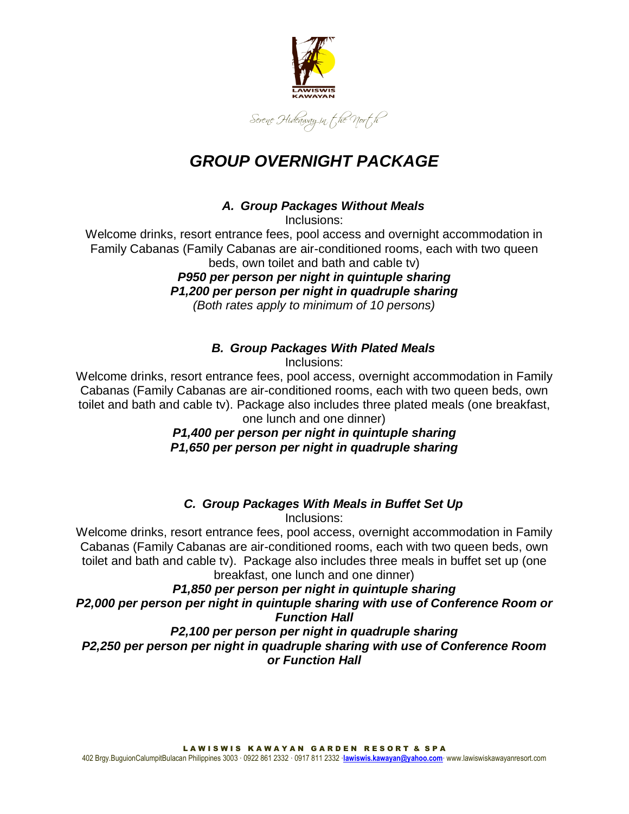

# *GROUP OVERNIGHT PACKAGE*

#### *A. Group Packages Without Meals*

Inclusions:

Welcome drinks, resort entrance fees, pool access and overnight accommodation in Family Cabanas (Family Cabanas are air-conditioned rooms, each with two queen beds, own toilet and bath and cable tv)

> *P950 per person per night in quintuple sharing P1,200 per person per night in quadruple sharing (Both rates apply to minimum of 10 persons)*

# *B. Group Packages With Plated Meals*

Inclusions:

Welcome drinks, resort entrance fees, pool access, overnight accommodation in Family Cabanas (Family Cabanas are air-conditioned rooms, each with two queen beds, own toilet and bath and cable tv). Package also includes three plated meals (one breakfast, one lunch and one dinner)

# *P1,400 per person per night in quintuple sharing P1,650 per person per night in quadruple sharing*

# *C. Group Packages With Meals in Buffet Set Up*

Inclusions:

Welcome drinks, resort entrance fees, pool access, overnight accommodation in Family Cabanas (Family Cabanas are air-conditioned rooms, each with two queen beds, own toilet and bath and cable tv). Package also includes three meals in buffet set up (one breakfast, one lunch and one dinner)

## *P1,850 per person per night in quintuple sharing P2,000 per person per night in quintuple sharing with use of Conference Room or Function Hall*

#### *P2,100 per person per night in quadruple sharing P2,250 per person per night in quadruple sharing with use of Conference Room or Function Hall*